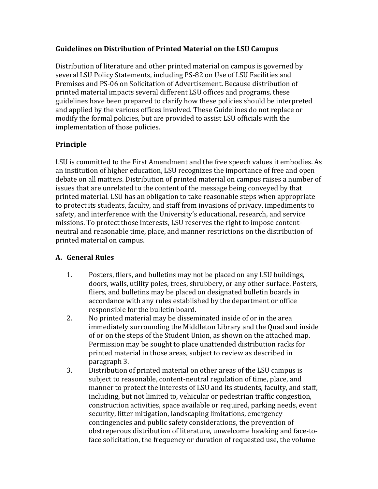## **Guidelines on Distribution of Printed Material on the LSU Campus**

Distribution of literature and other printed material on campus is governed by several LSU Policy Statements, including PS-82 on Use of LSU Facilities and Premises and PS-06 on Solicitation of Advertisement. Because distribution of printed material impacts several different LSU offices and programs, these guidelines have been prepared to clarify how these policies should be interpreted and applied by the various offices involved. These Guidelines do not replace or modify the formal policies, but are provided to assist LSU officials with the implementation of those policies.

## **Principle**

LSU is committed to the First Amendment and the free speech values it embodies. As an institution of higher education, LSU recognizes the importance of free and open debate on all matters. Distribution of printed material on campus raises a number of issues that are unrelated to the content of the message being conveyed by that printed material. LSU has an obligation to take reasonable steps when appropriate to protect its students, faculty, and staff from invasions of privacy, impediments to safety, and interference with the University's educational, research, and service missions. To protect those interests, LSU reserves the right to impose contentneutral and reasonable time, place, and manner restrictions on the distribution of printed material on campus.

## **A. General Rules**

- 1. Posters, fliers, and bulletins may not be placed on any LSU buildings, doors, walls, utility poles, trees, shrubbery, or any other surface. Posters, fliers, and bulletins may be placed on designated bulletin boards in accordance with any rules established by the department or office responsible for the bulletin board.
- 2. No printed material may be disseminated inside of or in the area immediately surrounding the Middleton Library and the Quad and inside of or on the steps of the Student Union, as shown on the attached map. Permission may be sought to place unattended distribution racks for printed material in those areas, subject to review as described in paragraph 3.
- 3. Distribution of printed material on other areas of the LSU campus is subject to reasonable, content-neutral regulation of time, place, and manner to protect the interests of LSU and its students, faculty, and staff, including, but not limited to, vehicular or pedestrian traffic congestion, construction activities, space available or required, parking needs, event security, litter mitigation, landscaping limitations, emergency contingencies and public safety considerations, the prevention of obstreperous distribution of literature, unwelcome hawking and face-toface solicitation, the frequency or duration of requested use, the volume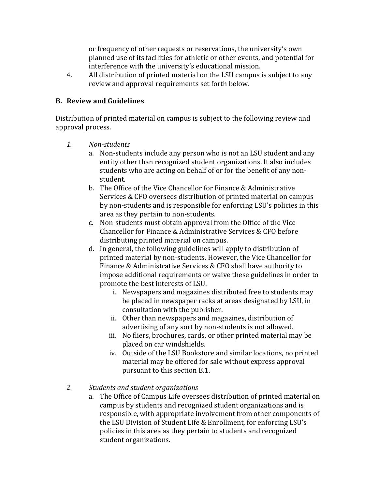or frequency of other requests or reservations, the university's own planned use of its facilities for athletic or other events, and potential for interference with the university's educational mission.

4. All distribution of printed material on the LSU campus is subject to any review and approval requirements set forth below.

## **B. Review and Guidelines**

Distribution of printed material on campus is subject to the following review and approval process.

- *1. Non-students*
	- a. Non-students include any person who is not an LSU student and any entity other than recognized student organizations. It also includes students who are acting on behalf of or for the benefit of any nonstudent.
	- b. The Office of the Vice Chancellor for Finance & Administrative Services & CFO oversees distribution of printed material on campus by non-students and is responsible for enforcing LSU's policies in this area as they pertain to non-students.
	- c. Non-students must obtain approval from the Office of the Vice Chancellor for Finance & Administrative Services & CFO before distributing printed material on campus.
	- d. In general, the following guidelines will apply to distribution of printed material by non-students. However, the Vice Chancellor for Finance & Administrative Services & CFO shall have authority to impose additional requirements or waive these guidelines in order to promote the best interests of LSU.
		- i. Newspapers and magazines distributed free to students may be placed in newspaper racks at areas designated by LSU, in consultation with the publisher.
		- ii. Other than newspapers and magazines, distribution of advertising of any sort by non-students is not allowed.
		- iii. No fliers, brochures, cards, or other printed material may be placed on car windshields.
		- iv. Outside of the LSU Bookstore and similar locations, no printed material may be offered for sale without express approval pursuant to this section B.1.
- *2. Students and student organizations*
	- a. The Office of Campus Life oversees distribution of printed material on campus by students and recognized student organizations and is responsible, with appropriate involvement from other components of the LSU Division of Student Life & Enrollment, for enforcing LSU's policies in this area as they pertain to students and recognized student organizations.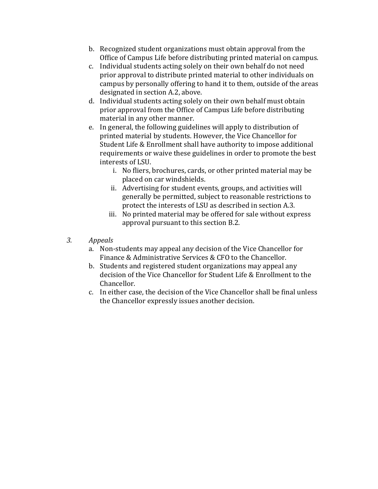- b. Recognized student organizations must obtain approval from the Office of Campus Life before distributing printed material on campus.
- c. Individual students acting solely on their own behalf do not need prior approval to distribute printed material to other individuals on campus by personally offering to hand it to them, outside of the areas designated in section A.2, above.
- d. Individual students acting solely on their own behalf must obtain prior approval from the Office of Campus Life before distributing material in any other manner.
- e. In general, the following guidelines will apply to distribution of printed material by students. However, the Vice Chancellor for Student Life & Enrollment shall have authority to impose additional requirements or waive these guidelines in order to promote the best interests of LSU.
	- i. No fliers, brochures, cards, or other printed material may be placed on car windshields.
	- ii. Advertising for student events, groups, and activities will generally be permitted, subject to reasonable restrictions to protect the interests of LSU as described in section A.3.
	- iii. No printed material may be offered for sale without express approval pursuant to this section B.2.
- *3. Appeals*
	- a. Non-students may appeal any decision of the Vice Chancellor for Finance & Administrative Services & CFO to the Chancellor.
	- b. Students and registered student organizations may appeal any decision of the Vice Chancellor for Student Life & Enrollment to the Chancellor.
	- c. In either case, the decision of the Vice Chancellor shall be final unless the Chancellor expressly issues another decision.